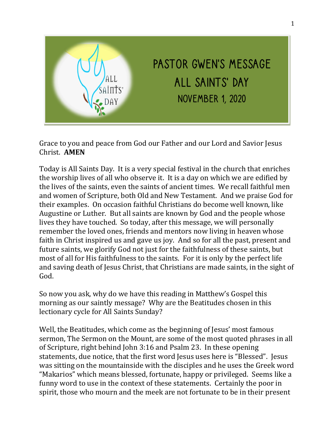

Grace to you and peace from God our Father and our Lord and Savior Jesus Christ. **AMEN**

Today is All Saints Day. It is a very special festival in the church that enriches the worship lives of all who observe it. It is a day on which we are edified by the lives of the saints, even the saints of ancient times. We recall faithful men and women of Scripture, both Old and New Testament. And we praise God for their examples. On occasion faithful Christians do become well known, like Augustine or Luther. But all saints are known by God and the people whose lives they have touched. So today, after this message, we will personally remember the loved ones, friends and mentors now living in heaven whose faith in Christ inspired us and gave us joy. And so for all the past, present and future saints, we glorify God not just for the faithfulness of these saints, but most of all for His faithfulness to the saints. For it is only by the perfect life and saving death of Jesus Christ, that Christians are made saints, in the sight of God.

So now you ask, why do we have this reading in Matthew's Gospel this morning as our saintly message? Why are the Beatitudes chosen in this lectionary cycle for All Saints Sunday?

Well, the Beatitudes, which come as the beginning of Jesus' most famous sermon, The Sermon on the Mount, are some of the most quoted phrases in all of Scripture, right behind John 3:16 and Psalm 23. In these opening statements, due notice, that the first word Jesus uses here is "Blessed". Jesus was sitting on the mountainside with the disciples and he uses the Greek word "Makarios" which means blessed, fortunate, happy or privileged. Seems like a funny word to use in the context of these statements. Certainly the poor in spirit, those who mourn and the meek are not fortunate to be in their present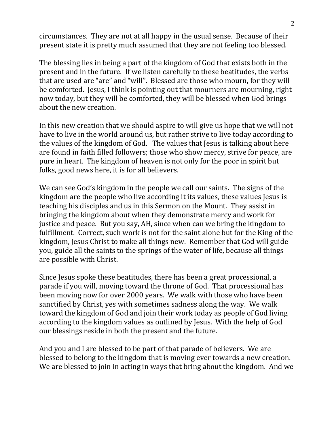circumstances. They are not at all happy in the usual sense. Because of their present state it is pretty much assumed that they are not feeling too blessed.

The blessing lies in being a part of the kingdom of God that exists both in the present and in the future. If we listen carefully to these beatitudes, the verbs that are used are "are" and "will". Blessed are those who mourn, for they will be comforted. Jesus, I think is pointing out that mourners are mourning, right now today, but they will be comforted, they will be blessed when God brings about the new creation.

In this new creation that we should aspire to will give us hope that we will not have to live in the world around us, but rather strive to live today according to the values of the kingdom of God. The values that Jesus is talking about here are found in faith filled followers; those who show mercy, strive for peace, are pure in heart. The kingdom of heaven is not only for the poor in spirit but folks, good news here, it is for all believers.

We can see God's kingdom in the people we call our saints. The signs of the kingdom are the people who live according it its values, these values Jesus is teaching his disciples and us in this Sermon on the Mount. They assist in bringing the kingdom about when they demonstrate mercy and work for justice and peace. But you say, AH, since when can we bring the kingdom to fulfillment. Correct, such work is not for the saint alone but for the King of the kingdom, Jesus Christ to make all things new. Remember that God will guide you, guide all the saints to the springs of the water of life, because all things are possible with Christ.

Since Jesus spoke these beatitudes, there has been a great processional, a parade if you will, moving toward the throne of God. That processional has been moving now for over 2000 years. We walk with those who have been sanctified by Christ, yes with sometimes sadness along the way. We walk toward the kingdom of God and join their work today as people of God living according to the kingdom values as outlined by Jesus. With the help of God our blessings reside in both the present and the future.

And you and I are blessed to be part of that parade of believers. We are blessed to belong to the kingdom that is moving ever towards a new creation. We are blessed to join in acting in ways that bring about the kingdom. And we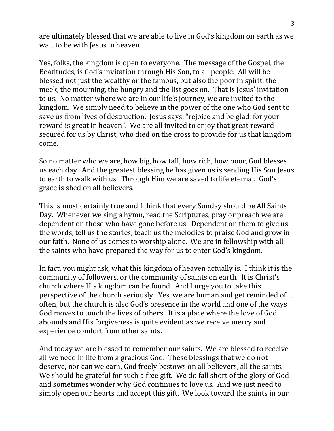are ultimately blessed that we are able to live in God's kingdom on earth as we wait to be with Jesus in heaven.

Yes, folks, the kingdom is open to everyone. The message of the Gospel, the Beatitudes, is God's invitation through His Son, to all people. All will be blessed not just the wealthy or the famous, but also the poor in spirit, the meek, the mourning, the hungry and the list goes on. That is Jesus' invitation to us. No matter where we are in our life's journey, we are invited to the kingdom. We simply need to believe in the power of the one who God sent to save us from lives of destruction. Jesus says, "rejoice and be glad, for your reward is great in heaven". We are all invited to enjoy that great reward secured for us by Christ, who died on the cross to provide for us that kingdom come.

So no matter who we are, how big, how tall, how rich, how poor, God blesses us each day. And the greatest blessing he has given us is sending His Son Jesus to earth to walk with us. Through Him we are saved to life eternal. God's grace is shed on all believers.

This is most certainly true and I think that every Sunday should be All Saints Day. Whenever we sing a hymn, read the Scriptures, pray or preach we are dependent on those who have gone before us. Dependent on them to give us the words, tell us the stories, teach us the melodies to praise God and grow in our faith. None of us comes to worship alone. We are in fellowship with all the saints who have prepared the way for us to enter God's kingdom.

In fact, you might ask, what this kingdom of heaven actually is. I think it is the community of followers, or the community of saints on earth. It is Christ's church where His kingdom can be found. And I urge you to take this perspective of the church seriously. Yes, we are human and get reminded of it often, but the church is also God's presence in the world and one of the ways God moves to touch the lives of others. It is a place where the love of God abounds and His forgiveness is quite evident as we receive mercy and experience comfort from other saints.

And today we are blessed to remember our saints. We are blessed to receive all we need in life from a gracious God. These blessings that we do not deserve, nor can we earn, God freely bestows on all believers, all the saints. We should be grateful for such a free gift. We do fall short of the glory of God and sometimes wonder why God continues to love us. And we just need to simply open our hearts and accept this gift. We look toward the saints in our